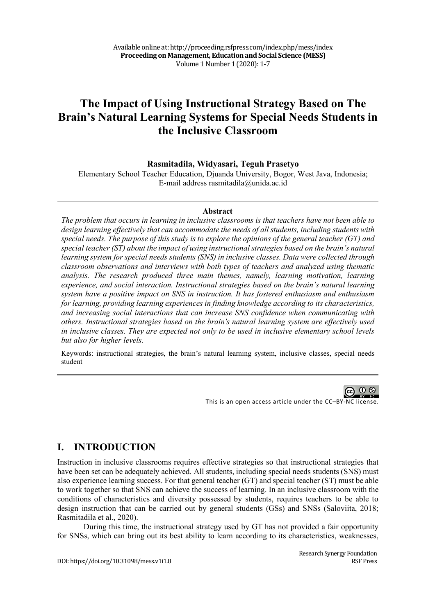# **The Impact of Using Instructional Strategy Based on The Brain's Natural Learning Systems for Special Needs Students in the Inclusive Classroom**

**Rasmitadila, Widyasari, Teguh Prasetyo**

Elementary School Teacher Education, Djuanda University, Bogor, West Java, Indonesia; E-mail address rasmitadila@unida.ac.id

#### **Abstract**

*The problem that occurs in learning in inclusive classrooms is that teachers have not been able to design learning effectively that can accommodate the needs of all students, including students with special needs. The purpose of this study is to explore the opinions of the general teacher (GT) and special teacher (ST) about the impact of using instructional strategies based on the brain's natural learning system for special needs students (SNS) in inclusive classes. Data were collected through classroom observations and interviews with both types of teachers and analyzed using thematic analysis. The research produced three main themes, namely, learning motivation, learning experience, and social interaction. Instructional strategies based on the brain's natural learning system have a positive impact on SNS in instruction. It has fostered enthusiasm and enthusiasm for learning, providing learning experiences in finding knowledge according to its characteristics, and increasing social interactions that can increase SNS confidence when communicating with others. Instructional strategies based on the brain's natural learning system are effectively used in inclusive classes. They are expected not only to be used in inclusive elementary school levels but also for higher levels.*

Keywords: instructional strategies, the brain's natural learning system, inclusive classes, special needs student

**@ 0 ®** 

This is an open access article under the CC–BY-NC license.

## **I. INTRODUCTION**

Instruction in inclusive classrooms requires effective strategies so that instructional strategies that have been set can be adequately achieved. All students, including special needs students (SNS) must also experience learning success. For that general teacher (GT) and special teacher (ST) must be able to work together so that SNS can achieve the success of learning. In an inclusive classroom with the conditions of characteristics and diversity possessed by students, requires teachers to be able to design instruction that can be carried out by general students (GSs) and SNSs (Saloviita, 2018; Rasmitadila et al., 2020).

During this time, the instructional strategy used by GT has not provided a fair opportunity for SNSs, which can bring out its best ability to learn according to its characteristics, weaknesses,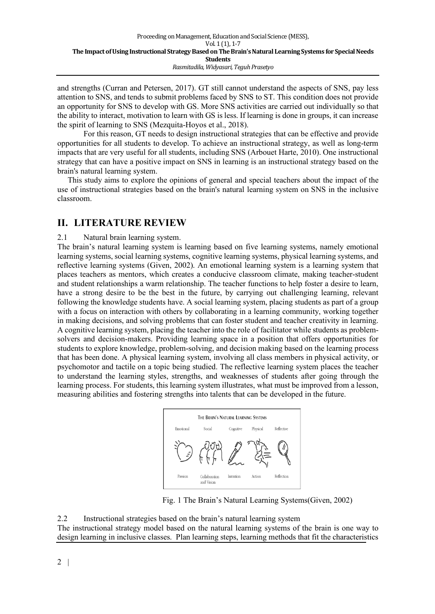and strengths (Curran and Petersen, 2017). GT still cannot understand the aspects of SNS, pay less attention to SNS, and tends to submit problems faced by SNS to ST. This condition does not provide an opportunity for SNS to develop with GS. More SNS activities are carried out individually so that the ability to interact, motivation to learn with GS is less. If learning is done in groups, it can increase the spirit of learning to SNS (Mezquita-Hoyos et al., 2018).

For this reason, GT needs to design instructional strategies that can be effective and provide opportunities for all students to develop. To achieve an instructional strategy, as well as long-term impacts that are very useful for all students, including SNS (Arbouet Harte, 2010). One instructional strategy that can have a positive impact on SNS in learning is an instructional strategy based on the brain's natural learning system.

This study aims to explore the opinions of general and special teachers about the impact of the use of instructional strategies based on the brain's natural learning system on SNS in the inclusive classroom.

### **II. LITERATURE REVIEW**

2.1 Natural brain learning system.

The brain's natural learning system is learning based on five learning systems, namely emotional learning systems, social learning systems, cognitive learning systems, physical learning systems, and reflective learning systems (Given, 2002). An emotional learning system is a learning system that places teachers as mentors, which creates a conducive classroom climate, making teacher-student and student relationships a warm relationship. The teacher functions to help foster a desire to learn, have a strong desire to be the best in the future, by carrying out challenging learning, relevant following the knowledge students have. A social learning system, placing students as part of a group with a focus on interaction with others by collaborating in a learning community, working together in making decisions, and solving problems that can foster student and teacher creativity in learning. A cognitive learning system, placing the teacher into the role of facilitator while students as problemsolvers and decision-makers. Providing learning space in a position that offers opportunities for students to explore knowledge, problem-solving, and decision making based on the learning process that has been done. A physical learning system, involving all class members in physical activity, or psychomotor and tactile on a topic being studied. The reflective learning system places the teacher to understand the learning styles, strengths, and weaknesses of students after going through the learning process. For students, this learning system illustrates, what must be improved from a lesson, measuring abilities and fostering strengths into talents that can be developed in the future.



Fig. 1 The Brain's Natural Learning Systems(Given, 2002)

2.2 Instructional strategies based on the brain's natural learning system The instructional strategy model based on the natural learning systems of the brain is one way to design learning in inclusive classes. Plan learning steps, learning methods that fit the characteristics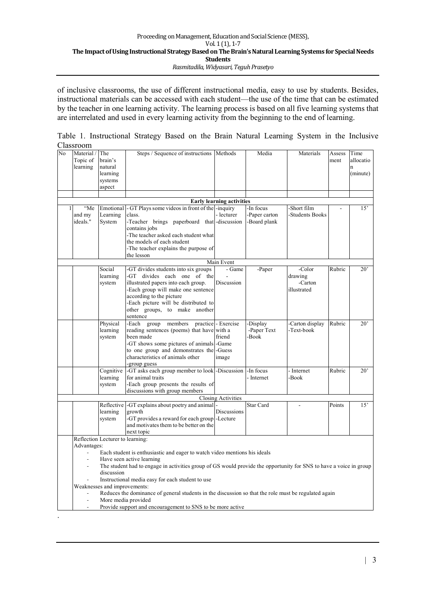of inclusive classrooms, the use of different instructional media, easy to use by students. Besides, instructional materials can be accessed with each student—the use of the time that can be estimated by the teacher in one learning activity. The learning process is based on all five learning systems that are interrelated and used in every learning activity from the beginning to the end of learning.

| No                               | Material /<br>Topic of                                                                                                   | The<br>brain's      | Steps / Sequence of instructions Methods                                 |                     | Media        | Materials             | Assess<br>ment | Time<br>allocatio |
|----------------------------------|--------------------------------------------------------------------------------------------------------------------------|---------------------|--------------------------------------------------------------------------|---------------------|--------------|-----------------------|----------------|-------------------|
|                                  | learning                                                                                                                 | natural             |                                                                          |                     |              |                       |                | $\mathbf{n}$      |
|                                  |                                                                                                                          | learning            |                                                                          |                     |              |                       |                | (minute)          |
|                                  |                                                                                                                          | systems             |                                                                          |                     |              |                       |                |                   |
|                                  |                                                                                                                          | aspect              |                                                                          |                     |              |                       |                |                   |
|                                  |                                                                                                                          |                     |                                                                          |                     |              |                       |                |                   |
| <b>Early learning activities</b> |                                                                                                                          |                     |                                                                          |                     |              |                       |                |                   |
| 1                                | "Me                                                                                                                      | Emotional           | - GT Plays some videos in front of the -inquiry                          |                     | -In focus    | Short film            |                | 15'               |
|                                  | and my                                                                                                                   | Learning            | class.                                                                   | - lecturer          | Paper carton | <b>Students Books</b> |                |                   |
|                                  | ideals."                                                                                                                 | System              | -Teacher brings paperboard that -discussion                              |                     | -Board plank |                       |                |                   |
|                                  |                                                                                                                          |                     | contains jobs                                                            |                     |              |                       |                |                   |
|                                  |                                                                                                                          |                     | -The teacher asked each student what                                     |                     |              |                       |                |                   |
|                                  |                                                                                                                          |                     | the models of each student                                               |                     |              |                       |                |                   |
|                                  |                                                                                                                          |                     | The teacher explains the purpose of                                      |                     |              |                       |                |                   |
|                                  |                                                                                                                          |                     | the lesson                                                               |                     |              |                       |                |                   |
| Main Event                       |                                                                                                                          |                     |                                                                          |                     |              |                       |                |                   |
|                                  |                                                                                                                          | Social              | -GT divides students into six groups                                     | - Game              | -Paper       | -Color                | Rubric         | $20^{\circ}$      |
|                                  |                                                                                                                          | learning            | -GT divides each one of the                                              | Discussion          |              | drawing<br>-Carton    |                |                   |
|                                  |                                                                                                                          | system              | illustrated papers into each group.<br>Each group will make one sentence |                     |              | illustrated           |                |                   |
|                                  |                                                                                                                          |                     | according to the picture                                                 |                     |              |                       |                |                   |
|                                  |                                                                                                                          |                     | -Each picture will be distributed to                                     |                     |              |                       |                |                   |
|                                  |                                                                                                                          |                     | other groups, to make another                                            |                     |              |                       |                |                   |
|                                  |                                                                                                                          |                     | sentence                                                                 |                     |              |                       |                |                   |
|                                  |                                                                                                                          | Physical            | -Each group<br>members                                                   | practice - Exercise | Display      | Carton display        | Rubric         | $20^{\circ}$      |
|                                  |                                                                                                                          | learning            | reading sentences (poems) that have with a                               |                     | -Paper Text  | -Text-book            |                |                   |
|                                  |                                                                                                                          | system              | been made                                                                | friend              | -Book        |                       |                |                   |
|                                  |                                                                                                                          |                     | -GT shows some pictures of animals -Game                                 |                     |              |                       |                |                   |
|                                  |                                                                                                                          |                     | to one group and demonstrates the -Guess                                 |                     |              |                       |                |                   |
|                                  |                                                                                                                          |                     | characteristics of animals other                                         | image               |              |                       |                |                   |
|                                  |                                                                                                                          |                     | -group guess                                                             |                     |              |                       |                |                   |
|                                  |                                                                                                                          | Cognitive           | -GT asks each group member to look -Discussion                           |                     | -In focus    | - Internet            | Rubric         | $20^{\circ}$      |
|                                  |                                                                                                                          | learning            | for animal traits                                                        |                     | - Internet   | Book-                 |                |                   |
|                                  |                                                                                                                          | system              | -Each group presents the results of                                      |                     |              |                       |                |                   |
|                                  |                                                                                                                          |                     | discussions with group members                                           |                     |              |                       |                |                   |
| <b>Closing Activities</b>        |                                                                                                                          |                     |                                                                          |                     |              |                       |                |                   |
|                                  |                                                                                                                          | Reflective          | -GT explains about poetry and animal<br>growth                           |                     | Star Card    |                       | Points         | 15'               |
|                                  |                                                                                                                          | learning<br>system  | -GT provides a reward for each group - Lecture                           | Discussions         |              |                       |                |                   |
|                                  |                                                                                                                          |                     | and motivates them to be better on the                                   |                     |              |                       |                |                   |
|                                  |                                                                                                                          |                     | next topic                                                               |                     |              |                       |                |                   |
|                                  |                                                                                                                          |                     |                                                                          |                     |              |                       |                |                   |
|                                  | Reflection Lecturer to learning:<br>Advantages:                                                                          |                     |                                                                          |                     |              |                       |                |                   |
|                                  | Each student is enthusiastic and eager to watch video mentions his ideals                                                |                     |                                                                          |                     |              |                       |                |                   |
|                                  | Have seen active learning                                                                                                |                     |                                                                          |                     |              |                       |                |                   |
|                                  | The student had to engage in activities group of GS would provide the opportunity for SNS to have a voice in group<br>L. |                     |                                                                          |                     |              |                       |                |                   |
|                                  | discussion                                                                                                               |                     |                                                                          |                     |              |                       |                |                   |
|                                  | Instructional media easy for each student to use                                                                         |                     |                                                                          |                     |              |                       |                |                   |
|                                  | Weaknesses and improvements:                                                                                             |                     |                                                                          |                     |              |                       |                |                   |
|                                  | Reduces the dominance of general students in the discussion so that the role must be regulated again<br>$\blacksquare$   |                     |                                                                          |                     |              |                       |                |                   |
|                                  |                                                                                                                          | More media provided |                                                                          |                     |              |                       |                |                   |
|                                  |                                                                                                                          |                     | Provide support and encouragement to SNS to be more active               |                     |              |                       |                |                   |
|                                  |                                                                                                                          |                     |                                                                          |                     |              |                       |                |                   |

Table 1. Instructional Strategy Based on the Brain Natural Learning System in the Inclusive Classroom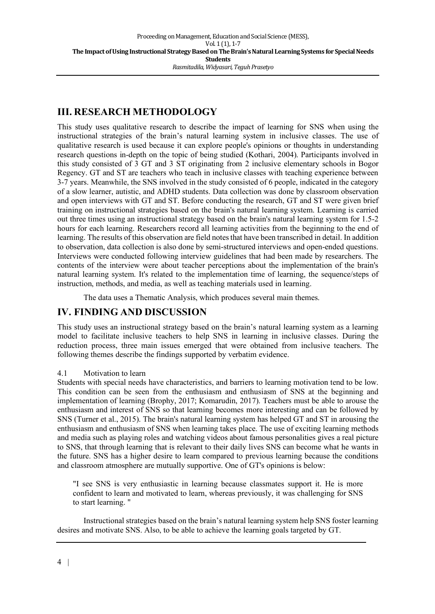# **III. RESEARCH METHODOLOGY**

This study uses qualitative research to describe the impact of learning for SNS when using the instructional strategies of the brain's natural learning system in inclusive classes. The use of qualitative research is used because it can explore people's opinions or thoughts in understanding research questions in-depth on the topic of being studied (Kothari, 2004). Participants involved in this study consisted of 3 GT and 3 ST originating from 2 inclusive elementary schools in Bogor Regency. GT and ST are teachers who teach in inclusive classes with teaching experience between 3-7 years. Meanwhile, the SNS involved in the study consisted of 6 people, indicated in the category of a slow learner, autistic, and ADHD students. Data collection was done by classroom observation and open interviews with GT and ST. Before conducting the research, GT and ST were given brief training on instructional strategies based on the brain's natural learning system. Learning is carried out three times using an instructional strategy based on the brain's natural learning system for 1.5-2 hours for each learning. Researchers record all learning activities from the beginning to the end of learning. The results of this observation are field notes that have been transcribed in detail. In addition to observation, data collection is also done by semi-structured interviews and open-ended questions. Interviews were conducted following interview guidelines that had been made by researchers. The contents of the interview were about teacher perceptions about the implementation of the brain's natural learning system. It's related to the implementation time of learning, the sequence/steps of instruction, methods, and media, as well as teaching materials used in learning.

The data uses a Thematic Analysis, which produces several main themes.

### **IV. FINDING AND DISCUSSION**

This study uses an instructional strategy based on the brain's natural learning system as a learning model to facilitate inclusive teachers to help SNS in learning in inclusive classes. During the reduction process, three main issues emerged that were obtained from inclusive teachers. The following themes describe the findings supported by verbatim evidence.

#### 4.1 Motivation to learn

Students with special needs have characteristics, and barriers to learning motivation tend to be low. This condition can be seen from the enthusiasm and enthusiasm of SNS at the beginning and implementation of learning (Brophy, 2017; Komarudin, 2017). Teachers must be able to arouse the enthusiasm and interest of SNS so that learning becomes more interesting and can be followed by SNS (Turner et al., 2015). The brain's natural learning system has helped GT and ST in arousing the enthusiasm and enthusiasm of SNS when learning takes place. The use of exciting learning methods and media such as playing roles and watching videos about famous personalities gives a real picture to SNS, that through learning that is relevant to their daily lives SNS can become what he wants in the future. SNS has a higher desire to learn compared to previous learning because the conditions and classroom atmosphere are mutually supportive. One of GT's opinions is below:

"I see SNS is very enthusiastic in learning because classmates support it. He is more confident to learn and motivated to learn, whereas previously, it was challenging for SNS to start learning. "

Instructional strategies based on the brain's natural learning system help SNS foster learning desires and motivate SNS. Also, to be able to achieve the learning goals targeted by GT.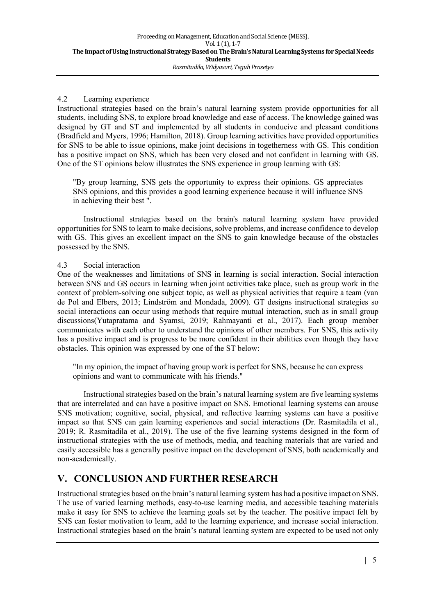#### 4.2 Learning experience

Instructional strategies based on the brain's natural learning system provide opportunities for all students, including SNS, to explore broad knowledge and ease of access. The knowledge gained was designed by GT and ST and implemented by all students in conducive and pleasant conditions (Bradfield and Myers, 1996; Hamilton, 2018). Group learning activities have provided opportunities for SNS to be able to issue opinions, make joint decisions in togetherness with GS. This condition has a positive impact on SNS, which has been very closed and not confident in learning with GS. One of the ST opinions below illustrates the SNS experience in group learning with GS:

"By group learning, SNS gets the opportunity to express their opinions. GS appreciates SNS opinions, and this provides a good learning experience because it will influence SNS in achieving their best ".

Instructional strategies based on the brain's natural learning system have provided opportunities for SNS to learn to make decisions, solve problems, and increase confidence to develop with GS. This gives an excellent impact on the SNS to gain knowledge because of the obstacles possessed by the SNS.

#### 4.3 Social interaction

One of the weaknesses and limitations of SNS in learning is social interaction. Social interaction between SNS and GS occurs in learning when joint activities take place, such as group work in the context of problem-solving one subject topic, as well as physical activities that require a team (van de Pol and Elbers, 2013; Lindström and Mondada, 2009). GT designs instructional strategies so social interactions can occur using methods that require mutual interaction, such as in small group discussions(Yutapratama and Syamsi, 2019; Rahmayanti et al., 2017). Each group member communicates with each other to understand the opinions of other members. For SNS, this activity has a positive impact and is progress to be more confident in their abilities even though they have obstacles. This opinion was expressed by one of the ST below:

"In my opinion, the impact of having group work is perfect for SNS, because he can express opinions and want to communicate with his friends."

Instructional strategies based on the brain's natural learning system are five learning systems that are interrelated and can have a positive impact on SNS. Emotional learning systems can arouse SNS motivation; cognitive, social, physical, and reflective learning systems can have a positive impact so that SNS can gain learning experiences and social interactions (Dr. Rasmitadila et al., 2019; R. Rasmitadila et al., 2019). The use of the five learning systems designed in the form of instructional strategies with the use of methods, media, and teaching materials that are varied and easily accessible has a generally positive impact on the development of SNS, both academically and non-academically.

## **V. CONCLUSION AND FURTHER RESEARCH**

Instructional strategies based on the brain's natural learning system has had a positive impact on SNS. The use of varied learning methods, easy-to-use learning media, and accessible teaching materials make it easy for SNS to achieve the learning goals set by the teacher. The positive impact felt by SNS can foster motivation to learn, add to the learning experience, and increase social interaction. Instructional strategies based on the brain's natural learning system are expected to be used not only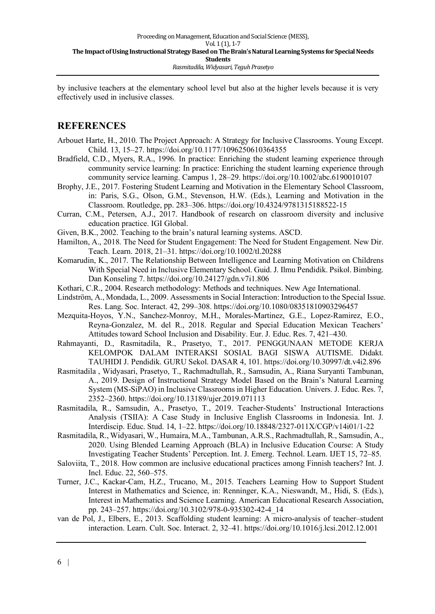by inclusive teachers at the elementary school level but also at the higher levels because it is very effectively used in inclusive classes.

### **REFERENCES**

- Arbouet Harte, H., 2010. The Project Approach: A Strategy for Inclusive Classrooms. Young Except. Child. 13, 15–27. https://doi.org/10.1177/1096250610364355
- Bradfield, C.D., Myers, R.A., 1996. In practice: Enriching the student learning experience through community service learning: In practice: Enriching the student learning experience through community service learning. Campus 1, 28–29. https://doi.org/10.1002/abc.6190010107
- Brophy, J.E., 2017. Fostering Student Learning and Motivation in the Elementary School Classroom, in: Paris, S.G., Olson, G.M., Stevenson, H.W. (Eds.), Learning and Motivation in the Classroom. Routledge, pp. 283–306. https://doi.org/10.4324/9781315188522-15
- Curran, C.M., Petersen, A.J., 2017. Handbook of research on classroom diversity and inclusive education practice. IGI Global.
- Given, B.K., 2002. Teaching to the brain's natural learning systems. ASCD.
- Hamilton, A., 2018. The Need for Student Engagement: The Need for Student Engagement. New Dir. Teach. Learn. 2018, 21–31. https://doi.org/10.1002/tl.20288
- Komarudin, K., 2017. The Relationship Between Intelligence and Learning Motivation on Childrens With Special Need in Inclusive Elementary School. Guid. J. Ilmu Pendidik. Psikol. Bimbing. Dan Konseling 7. https://doi.org/10.24127/gdn.v7i1.806
- Kothari, C.R., 2004. Research methodology: Methods and techniques. New Age International.
- Lindström, A., Mondada, L., 2009. Assessments in Social Interaction: Introduction to the Special Issue. Res. Lang. Soc. Interact. 42, 299–308. https://doi.org/10.1080/08351810903296457
- Mezquita-Hoyos, Y.N., Sanchez-Monroy, M.H., Morales-Martinez, G.E., Lopez-Ramirez, E.O., Reyna-Gonzalez, M. del R., 2018. Regular and Special Education Mexican Teachers' Attitudes toward School Inclusion and Disability. Eur. J. Educ. Res. 7, 421–430.
- Rahmayanti, D., Rasmitadila, R., Prasetyo, T., 2017. PENGGUNAAN METODE KERJA KELOMPOK DALAM INTERAKSI SOSIAL BAGI SISWA AUTISME. Didakt. TAUHIDI J. Pendidik. GURU Sekol. DASAR 4, 101. https://doi.org/10.30997/dt.v4i2.896
- Rasmitadila , Widyasari, Prasetyo, T., Rachmadtullah, R., Samsudin, A., Riana Suryanti Tambunan, A., 2019. Design of Instructional Strategy Model Based on the Brain's Natural Learning System (MS-SiPAO) in Inclusive Classrooms in Higher Education. Univers. J. Educ. Res. 7, 2352–2360. https://doi.org/10.13189/ujer.2019.071113
- Rasmitadila, R., Samsudin, A., Prasetyo, T., 2019. Teacher-Students' Instructional Interactions Analysis (TSIIA): A Case Study in Inclusive English Classrooms in Indonesia. Int. J. Interdiscip. Educ. Stud. 14, 1–22. https://doi.org/10.18848/2327-011X/CGP/v14i01/1-22
- Rasmitadila, R., Widyasari, W., Humaira, M.A., Tambunan, A.R.S., Rachmadtullah, R., Samsudin, A., 2020. Using Blended Learning Approach (BLA) in Inclusive Education Course: A Study Investigating Teacher Students' Perception. Int. J. Emerg. Technol. Learn. IJET 15, 72–85.
- Saloviita, T., 2018. How common are inclusive educational practices among Finnish teachers? Int. J. Incl. Educ. 22, 560–575.
- Turner, J.C., Kackar-Cam, H.Z., Trucano, M., 2015. Teachers Learning How to Support Student Interest in Mathematics and Science, in: Renninger, K.A., Nieswandt, M., Hidi, S. (Eds.), Interest in Mathematics and Science Learning. American Educational Research Association, pp. 243–257. https://doi.org/10.3102/978-0-935302-42-4\_14
- van de Pol, J., Elbers, E., 2013. Scaffolding student learning: A micro-analysis of teacher–student interaction. Learn. Cult. Soc. Interact. 2, 32–41. https://doi.org/10.1016/j.lcsi.2012.12.001